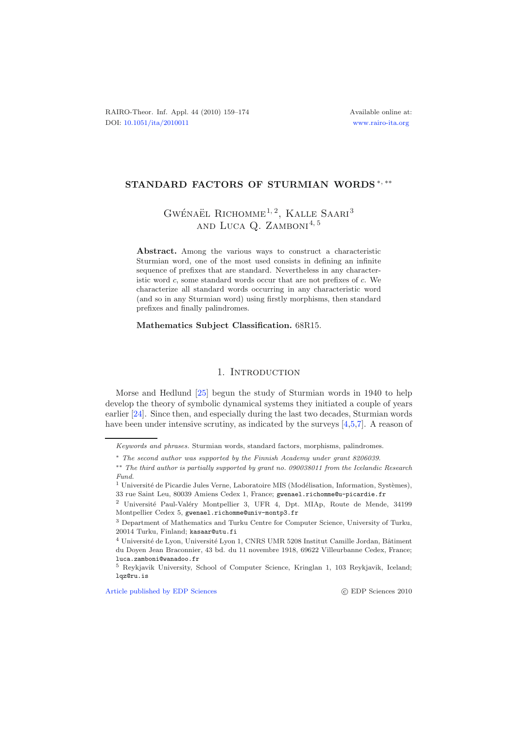## **STANDARD FACTORS OF STURMIAN WORDS** <sup>∗</sup>, ∗∗

# GWÉNAËL RICHOMME<sup>1, 2</sup>, KALLE SAARI<sup>3</sup> AND LUCA  $Q$ . ZAMBONI<sup>4, 5</sup>

**Abstract.** Among the various ways to construct a characteristic Sturmian word, one of the most used consists in defining an infinite sequence of prefixes that are standard. Nevertheless in any characteristic word *c*, some standard words occur that are not prefixes of *c*. We characterize all standard words occurring in any characteristic word (and so in any Sturmian word) using firstly morphisms, then standard prefixes and finally palindromes.

#### **Mathematics Subject Classification.** 68R15.

### 1. INTRODUCTION

Morse and Hedlund [\[25](#page-15-0)] begun the study of Sturmian words in 1940 to help develop the theory of symbolic dynamical systems they initiated a couple of years earlier [\[24](#page-15-1)]. Since then, and especially during the last two decades, Sturmian words have been under intensive scrutiny, as indicated by the surveys [\[4](#page-14-0)[,5](#page-14-1)[,7\]](#page-14-2). A reason of

[Article published by EDP Sciences](http://www.edpsciences.org) (C) EDP Sciences 2010

*Keywords and phrases.* Sturmian words, standard factors, morphisms, palindromes.

<sup>∗</sup> *The second author was supported by the Finnish Academy under grant 8206039.*

<sup>∗∗</sup> *The third author is partially supported by grant no. 090038011 from the Icelandic Research Fund.*

 $^{\rm 1}$ Université de Picardie Jules Verne, Laboratoire MIS (Modélisation, Information, Systèmes), 33 rue Saint Leu, 80039 Amiens Cedex 1, France; gwenael.richomme@u-picardie.fr

<sup>&</sup>lt;sup>2</sup> Université Paul-Valéry Montpellier 3, UFR 4, Dpt. MIAp, Route de Mende, 34199 Montpellier Cedex 5, gwenael.richomme@univ-montp3.fr

<sup>3</sup> Department of Mathematics and Turku Centre for Computer Science, University of Turku, 20014 Turku, Finland; kasaar@utu.fi

 $4$  Université de Lyon, Université Lyon 1, CNRS UMR 5208 Institut Camille Jordan, Bâtiment du Doyen Jean Braconnier, 43 bd. du 11 novembre 1918, 69622 Villeurbanne Cedex, France; luca.zamboni@wanadoo.fr

<sup>5</sup> Reykjavik University, School of Computer Science, Kringlan 1, 103 Reykjavik, Iceland; lqz@ru.is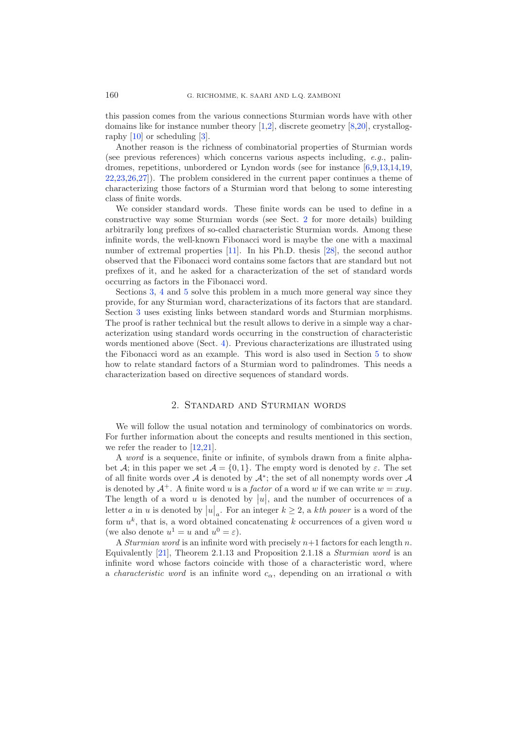this passion comes from the various connections Sturmian words have with other domains like for instance number theory [\[1](#page-14-3)[,2](#page-14-4)], discrete geometry [\[8](#page-15-2)[,20\]](#page-15-3), crystallography [\[10\]](#page-15-4) or scheduling [\[3](#page-14-5)].

Another reason is the richness of combinatorial properties of Sturmian words (see previous references) which concerns various aspects including, *e.g.*, palindromes, repetitions, unbordered or Lyndon words (see for instance [\[6](#page-14-6)[,9](#page-15-5)[,13](#page-15-6)[,14](#page-15-7)[,19,](#page-15-8) [22](#page-15-9)[,23](#page-15-10)[,26](#page-15-11)[,27\]](#page-15-12)). The problem considered in the current paper continues a theme of characterizing those factors of a Sturmian word that belong to some interesting class of finite words.

We consider standard words. These finite words can be used to define in a constructive way some Sturmian words (see Sect. [2](#page-1-0) for more details) building arbitrarily long prefixes of so-called characteristic Sturmian words. Among these infinite words, the well-known Fibonacci word is maybe the one with a maximal number of extremal properties [\[11\]](#page-15-13). In his Ph.D. thesis [\[28\]](#page-15-14), the second author observed that the Fibonacci word contains some factors that are standard but not prefixes of it, and he asked for a characterization of the set of standard words occurring as factors in the Fibonacci word.

Sections [3,](#page-3-0) [4](#page-9-0) and [5](#page-11-0) solve this problem in a much more general way since they provide, for any Sturmian word, characterizations of its factors that are standard. Section [3](#page-3-0) uses existing links between standard words and Sturmian morphisms. The proof is rather technical but the result allows to derive in a simple way a characterization using standard words occurring in the construction of characteristic words mentioned above (Sect. [4\)](#page-9-0). Previous characterizations are illustrated using the Fibonacci word as an example. This word is also used in Section [5](#page-11-0) to show how to relate standard factors of a Sturmian word to palindromes. This needs a characterization based on directive sequences of standard words.

### 2. Standard and Sturmian words

<span id="page-1-0"></span>We will follow the usual notation and terminology of combinatorics on words. For further information about the concepts and results mentioned in this section, we refer the reader to [\[12](#page-15-15)[,21\]](#page-15-16).

A *word* is a sequence, finite or infinite, of symbols drawn from a finite alphabet A; in this paper we set  $\mathcal{A} = \{0, 1\}$ . The empty word is denoted by  $\varepsilon$ . The set of all finite words over A is denoted by  $\mathcal{A}^*$ ; the set of all nonempty words over A is denoted by  $A^+$ . A finite word u is a *factor* of a word w if we can write  $w = xuu$ . The length of a word u is denoted by  $|u|$ , and the number of occurrences of a letter a in u is denoted by  $|u|_a$ . For an integer  $k \ge 2$ , a kth power is a word of the form  $u^k$ , that is, a word obtained concatenating k occurrences of a given word u (we also denote  $u^1 = u$  and  $u^0 = \varepsilon$ ).

A *Sturmian word* is an infinite word with precisely  $n+1$  factors for each length n. Equivalently [\[21\]](#page-15-16), Theorem 2.1.13 and Proposition 2.1.18 a *Sturmian word* is an infinite word whose factors coincide with those of a characteristic word, where a *characteristic word* is an infinite word  $c_{\alpha}$ , depending on an irrational  $\alpha$  with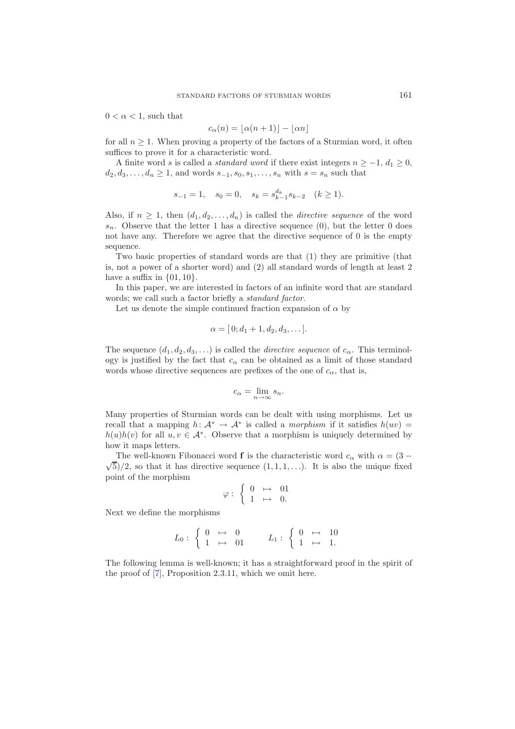$0 < \alpha < 1$ , such that

$$
c_{\alpha}(n) = \lfloor \alpha(n+1) \rfloor - \lfloor \alpha n \rfloor
$$

for all  $n \geq 1$ . When proving a property of the factors of a Sturmian word, it often suffices to prove it for a characteristic word.

A finite word s is called a *standard word* if there exist integers  $n \geq -1$ ,  $d_1 \geq 0$ ,  $d_2, d_3, \ldots, d_n \geq 1$ , and words  $s_{-1}, s_0, s_1, \ldots, s_n$  with  $s = s_n$  such that

$$
s_{-1} = 1
$$
,  $s_0 = 0$ ,  $s_k = s_{k-1}^{d_k} s_{k-2}$   $(k \ge 1)$ .

Also, if  $n \geq 1$ , then  $(d_1, d_2, \ldots, d_n)$  is called the *directive sequence* of the word  $s_n$ . Observe that the letter 1 has a directive sequence (0), but the letter 0 does not have any. Therefore we agree that the directive sequence of 0 is the empty sequence.

Two basic properties of standard words are that (1) they are primitive (that is, not a power of a shorter word) and (2) all standard words of length at least 2 have a suffix in  $\{01, 10\}$ .

In this paper, we are interested in factors of an infinite word that are standard words; we call such a factor briefly a *standard factor*.

Let us denote the simple continued fraction expansion of  $\alpha$  by

$$
\alpha = [0; d_1 + 1, d_2, d_3, \dots].
$$

The sequence  $(d_1, d_2, d_3,...)$  is called the *directive sequence* of  $c_{\alpha}$ . This terminology is justified by the fact that  $c_{\alpha}$  can be obtained as a limit of those standard words whose directive sequences are prefixes of the one of  $c_{\alpha}$ , that is,

$$
c_{\alpha} = \lim_{n \to \infty} s_n.
$$

Many properties of Sturmian words can be dealt with using morphisms. Let us recall that a mapping  $h: \mathcal{A}^* \to \mathcal{A}^*$  is called a *morphism* if it satisfies  $h(uv) =$  $h(u)h(v)$  for all  $u, v \in A^*$ . Observe that a morphism is uniquely determined by how it maps letters.

The well-known Fibonacci word **f** is the characteristic word  $c_{\alpha}$  with  $\alpha = (3 - \alpha)^2$  $\sqrt{5}$ /2, so that it has directive sequence  $(1, 1, 1, \ldots)$ . It is also the unique fixed point of the morphism

$$
\varphi: \begin{cases} 0 & \mapsto & 01 \\ 1 & \mapsto & 0. \end{cases}
$$

Next we define the morphisms

$$
L_0: \left\{ \begin{array}{ccc} 0 & \mapsto & 0 \\ 1 & \mapsto & 01 \end{array} \right. \qquad L_1: \left\{ \begin{array}{ccc} 0 & \mapsto & 10 \\ 1 & \mapsto & 1. \end{array} \right.
$$

<span id="page-2-0"></span>The following lemma is well-known; it has a straightforward proof in the spirit of the proof of [\[7](#page-14-2)], Proposition 2.3.11, which we omit here.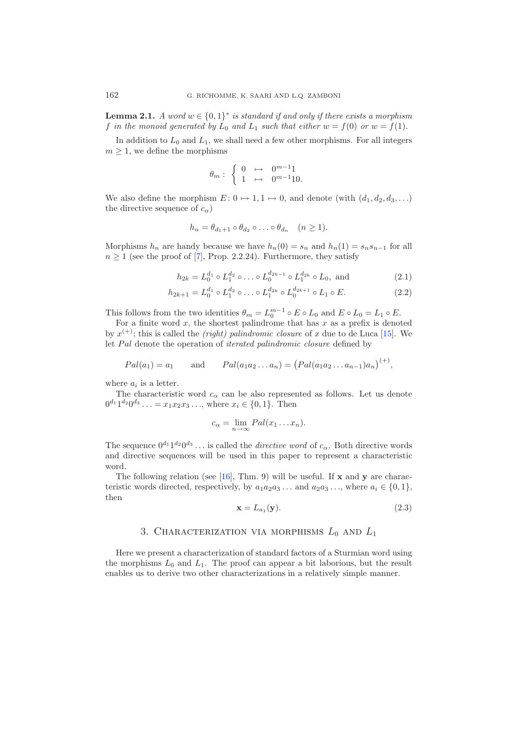**Lemma 2.1.** *A word*  $w \in \{0,1\}^*$  *is standard if and only if there exists a morphism* f in the monoid generated by  $L_0$  and  $L_1$  such that either  $w = f(0)$  or  $w = f(1)$ .

In addition to  $L_0$  and  $L_1$ , we shall need a few other morphisms. For all integers  $m \geq 1$ , we define the morphisms

<span id="page-3-3"></span><span id="page-3-2"></span>
$$
\theta_m: \begin{cases} 0 & \mapsto & 0^{m-1}1 \\ 1 & \mapsto & 0^{m-1}10. \end{cases}
$$

We also define the morphism  $E: 0 \mapsto 1, 1 \mapsto 0$ , and denote (with  $(d_1, d_2, d_3, \ldots)$ ) the directive sequence of  $c_{\alpha}$ )

$$
h_n = \theta_{d_1+1} \circ \theta_{d_2} \circ \ldots \circ \theta_{d_n} \quad (n \ge 1).
$$

Morphisms  $h_n$  are handy because we have  $h_n(0) = s_n$  and  $h_n(1) = s_n s_{n-1}$  for all  $n \geq 1$  (see the proof of [\[7\]](#page-14-2), Prop. 2.2.24). Furthermore, they satisfy

$$
h_{2k} = L_0^{d_1} \circ L_1^{d_2} \circ \dots \circ L_0^{d_{2k-1}} \circ L_1^{d_{2k}} \circ L_0, \text{ and } (2.1)
$$

$$
h_{2k+1} = L_0^{d_1} \circ L_1^{d_2} \circ \dots \circ L_1^{d_{2k}} \circ L_0^{d_{2k+1}} \circ L_1 \circ E.
$$
 (2.2)

This follows from the two identities  $\theta_m = L_0^{m-1} \circ E \circ L_0$  and  $E \circ L_0 = L_1 \circ E$ .

For a finite word  $x$ , the shortest palindrome that has  $x$  as a prefix is denoted by  $x^{(+)}$ ; this is called the *(right) palindromic closure* of x due to de Luca [\[15\]](#page-15-17). We let Pal denote the operation of *iterated palindromic closure* defined by

<span id="page-3-1"></span>
$$
Pal(a_1) = a_1
$$
 and  $Pal(a_1a_2...a_n) = (Pal(a_1a_2...a_{n-1})a_n)^{(+)}$ ,

where  $a_i$  is a letter.

The characteristic word  $c_{\alpha}$  can be also represented as follows. Let us denote  $0^{d_1} 1^{d_2} 0^{d_3} \ldots = x_1 x_2 x_3 \ldots$ , where  $x_i \in \{0, 1\}$ . Then

$$
c_{\alpha} = \lim_{n \to \infty} Pal(x_1 \dots x_n).
$$

The sequence  $0^{d_1} 1^{d_2} 0^{d_3} \dots$  is called the *directive word* of  $c_{\alpha}$ . Both directive words and directive sequences will be used in this paper to represent a characteristic word.

The following relation (see [\[16\]](#page-15-18), Thm. 9) will be useful. If **x** and **y** are characteristic words directed, respectively, by  $a_1a_2a_3\ldots$  and  $a_2a_3\ldots$ , where  $a_i \in \{0,1\}$ , then

$$
\mathbf{x} = L_{a_1}(\mathbf{y}).\tag{2.3}
$$

# 3. Characterization via morphisms *L*<sup>0</sup> and *L*<sup>1</sup>

<span id="page-3-0"></span>Here we present a characterization of standard factors of a Sturmian word using the morphisms  $L_0$  and  $L_1$ . The proof can appear a bit laborious, but the result enables us to derive two other characterizations in a relatively simple manner.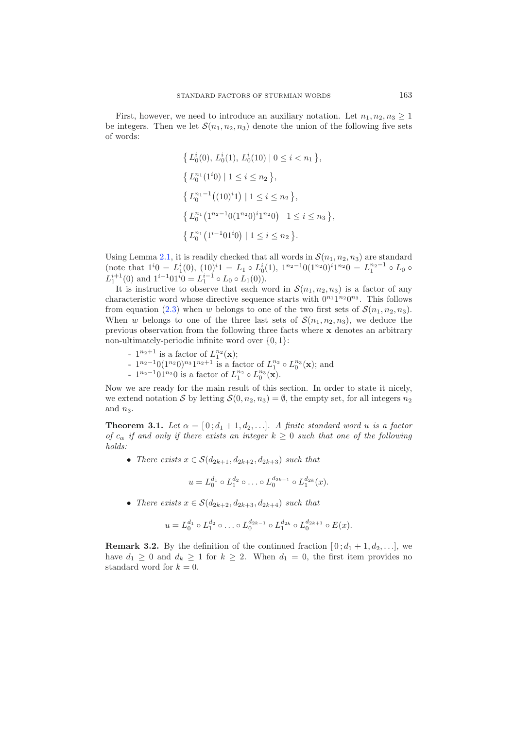First, however, we need to introduce an auxiliary notation. Let  $n_1, n_2, n_3 \geq 1$ be integers. Then we let  $\mathcal{S}(n_1, n_2, n_3)$  denote the union of the following five sets of words:

$$
\{ L_0^i(0), L_0^i(1), L_0^i(10) \mid 0 \le i < n_1 \},
$$
\n
$$
\{ L_0^{n_1}(1^i 0) \mid 1 \le i \le n_2 \},
$$
\n
$$
\{ L_0^{n_1 - 1}((10)^i 1) \mid 1 \le i \le n_2 \},
$$
\n
$$
\{ L_0^{n_1}(1^{n_2 - 1}0(1^{n_2}0)^i 1^{n_2}0) \mid 1 \le i \le n_3 \},
$$
\n
$$
\{ L_0^{n_1}(1^{i-1}01^i 0) \mid 1 \le i \le n_2 \}.
$$

Using Lemma [2.1,](#page-2-0) it is readily checked that all words in  $\mathcal{S}(n_1, n_2, n_3)$  are standard (note that  $1^i0 = L_1^i(0)$ ,  $(10)^i1 = L_1 \circ L_0^i(1)$ ,  $1^{n_2-1}0(1^{n_2}0)^i1^{n_2}0 = L_1^{n_2-1} \circ L_0 \circ$  $L_1^{i+1}(0)$  and  $1^{i-1}01^{i}0 = L_1^{i-1} \circ L_0 \circ L_1(0)$ .

It is instructive to observe that each word in  $S(n_1, n_2, n_3)$  is a factor of any characteristic word whose directive sequence starts with  $0^{n_1}1^{n_2}0^{n_3}$ . This follows from equation [\(2.3\)](#page-3-1) when w belongs to one of the two first sets of  $\mathcal{S}(n_1, n_2, n_3)$ . When w belongs to one of the three last sets of  $S(n_1, n_2, n_3)$ , we deduce the previous observation from the following three facts where **x** denotes an arbitrary non-ultimately-periodic infinite word over  $\{0, 1\}$ :

- $-1^{n_2+1}$  is a factor of  $L_1^{n_2}({\bf x});$
- $1^{n_2-1}0(1^{n_2}0)^{n_3}1^{n_2+1}$  is a factor of  $L_1^{n_2} \circ L_0^{n_3}(\mathbf{x})$ ; and
- $1^{n_2-1}01^{n_2}0$  is a factor of  $L_1^{n_2} \circ L_0^{n_3}(\mathbf{x})$ .

Now we are ready for the main result of this section. In order to state it nicely, we extend notation S by letting  $S(0, n_2, n_3) = \emptyset$ , the empty set, for all integers  $n_2$ and  $n_3$ .

**Theorem 3.1.** Let  $\alpha = [0; d_1 + 1, d_2, \ldots]$ *.* A finite standard word u is a factor *of*  $c_{\alpha}$  *if and only if there exists an integer*  $k \geq 0$  *such that one of the following holds:*

• *There exists*  $x \in S(d_{2k+1}, d_{2k+2}, d_{2k+3})$  *such that* 

$$
u = L_0^{d_1} \circ L_1^{d_2} \circ \ldots \circ L_0^{d_{2k-1}} \circ L_1^{d_{2k}}(x).
$$

• *There exists*  $x \in S(d_{2k+2}, d_{2k+3}, d_{2k+4})$  *such that* 

$$
u = L_0^{d_1} \circ L_1^{d_2} \circ \ldots \circ L_0^{d_{2k-1}} \circ L_1^{d_{2k}} \circ L_0^{d_{2k+1}} \circ E(x).
$$

<span id="page-4-0"></span>**Remark 3.2.** By the definition of the continued fraction  $[0; d_1 + 1, d_2, \ldots]$ , we have  $d_1 \geq 0$  and  $d_k \geq 1$  for  $k \geq 2$ . When  $d_1 = 0$ , the first item provides no standard word for  $k = 0$ .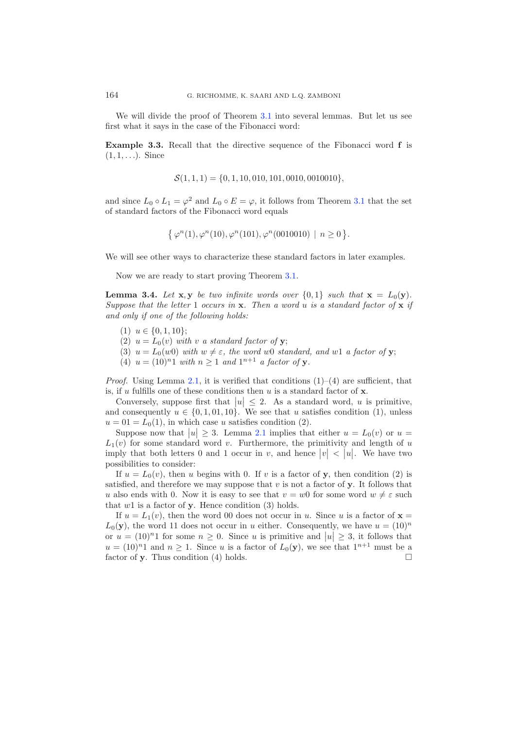<span id="page-5-1"></span>We will divide the proof of Theorem [3.1](#page-2-0) into several lemmas. But let us see first what it says in the case of the Fibonacci word:

**Example 3.3.** Recall that the directive sequence of the Fibonacci word **f** is  $(1, 1, \ldots)$ . Since

$$
\mathcal{S}(1,1,1) = \{0, 1, 10, 010, 101, 0010, 0010010\},\
$$

and since  $L_0 \circ L_1 = \varphi^2$  and  $L_0 \circ E = \varphi$ , it follows from Theorem [3.1](#page-2-0) that the set of standard factors of the Fibonacci word equals

$$
\{ \varphi^n(1), \varphi^n(10), \varphi^n(101), \varphi^n(0010010) \mid n \ge 0 \}.
$$

We will see other ways to characterize these standard factors in later examples.

Now we are ready to start proving Theorem [3.1.](#page-2-0)

<span id="page-5-0"></span>**Lemma 3.4.** Let **x**, **y** *be two infinite words over*  $\{0,1\}$  *such that*  $\mathbf{x} = L_0(\mathbf{y})$ *. Suppose that the letter* 1 *occurs in* **x***. Then a word* u *is a standard factor of* **x** *if and only if one of the following holds:*

- (1)  $u \in \{0, 1, 10\};$
- (2)  $u = L_0(v)$  *with* v *a standard factor of* **y**;
- (3)  $u = L_0(w0)$  *with*  $w \neq \varepsilon$ *, the word* w0 *standard, and* w1 *a factor of* **y**;
- (4)  $u = (10)^n 1$  *with*  $n \ge 1$  *and*  $1^{n+1}$  *a factor of* **y***.*

*Proof.* Using Lemma [2.1,](#page-2-0) it is verified that conditions  $(1)-(4)$  are sufficient, that is, if u fulfills one of these conditions then u is a standard factor of **x**.

Conversely, suppose first that  $|u| \leq 2$ . As a standard word, u is primitive, Conversely, suppose inst that  $|u| \ge 2$ . As a standard word, u is primitive,<br>and consequently  $u \in \{0, 1, 01, 10\}$ . We see that u satisfies condition (1), unless  $u = 01 = L_0(1)$ , in which case u satisfies condition (2).

Suppose now that  $|u| \geq 3$ . Lemma [2.1](#page-2-0) implies that either  $u = L_0(v)$  or  $u =$  $L_1(v)$  for some standard word v. Furthermore, the primitivity and length of u imply that both letters 0 and 1 occur in v, and hence  $|v| < |u|$ . We have two possibilities to consider:

If  $u = L_0(v)$ , then u begins with 0. If v is a factor of **y**, then condition (2) is satisfied, and therefore we may suppose that  $v$  is not a factor of  $\mathbf{y}$ . It follows that u also ends with 0. Now it is easy to see that  $v = w0$  for some word  $w \neq \varepsilon$  such that  $w1$  is a factor of **y**. Hence condition (3) holds.

If  $u = L_1(v)$ , then the word 00 does not occur in u. Since u is a factor of  $\mathbf{x} =$  $L_0(\mathbf{y})$ , the word 11 does not occur in u either. Consequently, we have  $u = (10)^n$ or  $u = (10)^n 1$  for some  $n \geq 0$ . Since u is primitive and  $|u| \geq 3$ , it follows that or  $u = (10)^n 1$  for some  $n \ge 0$ . Since u is primitive and  $|u| \ge 3$ , it follows that  $u = (10)^n 1$  and  $n \ge 1$ . Since u is a factor of  $L_0(\mathbf{y})$ , we see that  $1^{n+1}$  must be a factor of **y**. Thus condition (4) holds.  $\Box$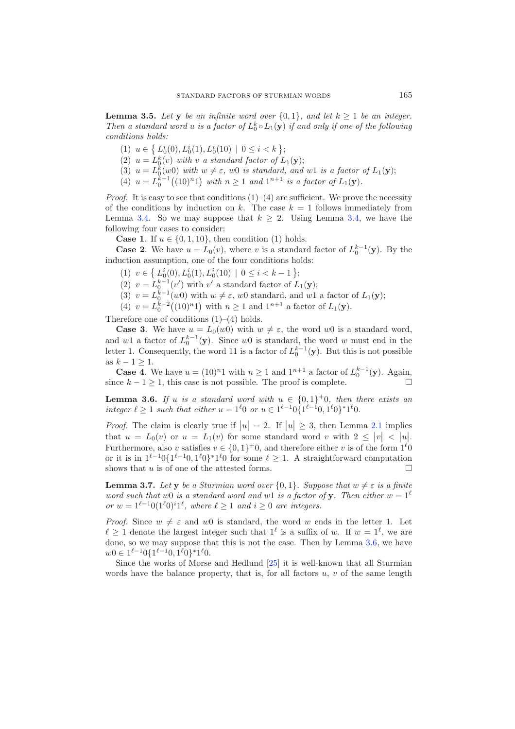<span id="page-6-1"></span>**Lemma 3.5.** *Let* **y** *be an infinite word over*  $\{0,1\}$ *, and let*  $k \geq 1$  *be an integer. Then a standard word u is a factor of*  $L_0^k \circ L_1(\mathbf{y})$  *if and only if one of the following conditions holds:*

- (1)  $u \in \left\{ L_0^i(0), L_0^i(1), L_0^i(10) \mid 0 \le i \le k \right\};$
- (2)  $u = L_0^k(v)$  *with v a* standard factor of  $L_1(\mathbf{y});$
- (3)  $u = L_0^k(w_0)$  with  $w \neq \varepsilon$ , we is standard, and w1 is a factor of  $L_1(\mathbf{y})$ ;
- $(4)$   $u = L_0^{k-1}((10)^n 1)$  with  $n \ge 1$  and  $1^{n+1}$  is a factor of  $L_1(\mathbf{y})$ .

*Proof.* It is easy to see that conditions  $(1)$ – $(4)$  are sufficient. We prove the necessity of the conditions by induction on k. The case  $k = 1$  follows immediately from Lemma [3.4.](#page-5-0) So we may suppose that  $k \geq 2$ . Using Lemma [3.4,](#page-5-0) we have the following four cases to consider:

**Case 1.** If  $u \in \{0, 1, 10\}$ , then condition (1) holds.

**Case 2.** We have  $u = L_0(v)$ , where v is a standard factor of  $L_0^{k-1}(\mathbf{y})$ . By the induction assumption, one of the four conditions holds:

- (1)  $v \in \left\{ L_0^i(0), L_0^i(1), L_0^i(10) \mid 0 \le i < k 1 \right\};$
- (2)  $v = L_0^{k-1}(v')$  with v' a standard factor of  $L_1(\mathbf{y});$
- (3)  $v = L_0^{\tilde{k}-1}(w_0)$  with  $w \neq \varepsilon$ , w0 standard, and w1 a factor of  $L_1(\mathbf{y})$ ;
- (4)  $v = L_0^{k-2}((10)^n 1)$  with  $n \ge 1$  and  $1^{n+1}$  a factor of  $L_1(\mathbf{y})$ .

Therefore one of conditions  $(1)$ – $(4)$  holds.

**Case 3.** We have  $u = L_0(w_0)$  with  $w \neq \varepsilon$ , the word we use a standard word, and w1 a factor of  $L_0^{k-1}(\mathbf{y})$ . Since w0 is standard, the word w must end in the letter 1. Consequently, the word 11 is a factor of  $L_0^{k-1}(\mathbf{y})$ . But this is not possible as  $k - 1 \geq 1$ .

**Case 4**. We have  $u = (10)^n 1$  with  $n \ge 1$  and  $1^{n+1}$  a factor of  $L_0^{k-1}(\mathbf{y})$ . Again, since  $k - 1 \geq 1$ , this case is not possible. The proof is complete.  $\Box$ 

<span id="page-6-0"></span>**Lemma 3.6.** *If* u *is a standard word with*  $u \in \{0, 1\}^+$ 0*, then there exists an integer*  $\ell \geq 1$  *such that either*  $u = 1^{\ell}0$  *or*  $u \in 1^{\ell-1}0$ {1<sup> $\ell-1$ </sup>0, 1<sup> $\ell$ </sup>0}<sup>\*</sup>1<sup> $\ell$ </sup>0*.* 

*Proof.* The claim is clearly true if  $|u| = 2$ . If  $|u| \ge 3$ , then Lemma [2.1](#page-2-0) implies that  $u = L_0(v)$  or  $u = L_1(v)$  for some standard word v with  $2 \le |v| < |u|$ . Furthermore, also v satisfies  $v \in \{0,1\}^+$ , and therefore either v is of the form  $1^{\ell}0$ or it is in  $1^{\ell-1}0\{1^{\ell-1}0, 1^{\ell}0\}$ <sup>∗</sup>1<sup> $\ell$ </sup>0 for some  $\ell \geq 1$ . A straightforward computation shows that u is of one of the attested forms.  $\Box$ 

<span id="page-6-2"></span>**Lemma 3.7.** Let **y** be a Sturmian word over  $\{0,1\}$ . Suppose that  $w \neq \varepsilon$  is a finite *word such that* w0 *is a standard word and* w1 *is a factor of* **y***. Then either*  $w = 1^{\ell}$ *or*  $w = 1^{\ell-1}0(1^{\ell}0)^i1^{\ell}$ , where  $\ell \geq 1$  and  $i \geq 0$  are integers.

*Proof.* Since  $w \neq \varepsilon$  and w0 is standard, the word w ends in the letter 1. Let  $\ell \geq 1$  denote the largest integer such that  $1^{\ell}$  is a suffix of w. If  $w = 1^{\ell}$ , we are done, so we may suppose that this is not the case. Then by Lemma [3.6,](#page-6-0) we have  $w0 \in 1^{\ell-1}0\{1^{\ell-1}0, 1^{\ell}0\}$ \*1<sup> $\ell$ </sup>0.

Since the works of Morse and Hedlund [\[25\]](#page-15-0) it is well-known that all Sturmian words have the balance property, that is, for all factors  $u, v$  of the same length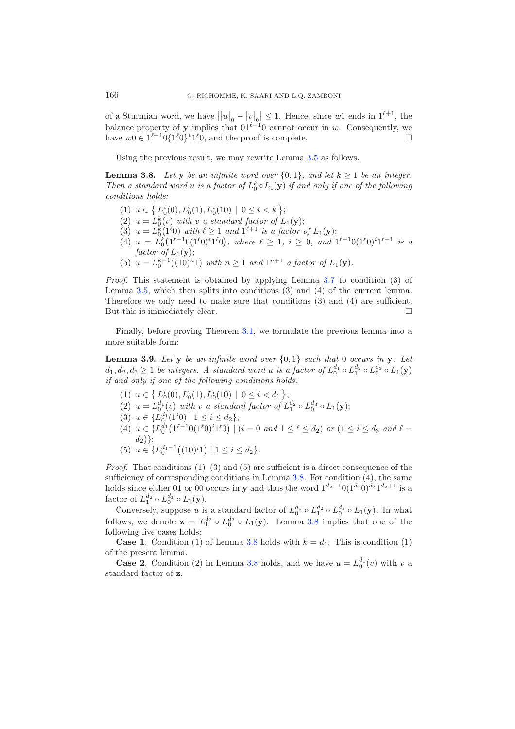of a Sturmian word, we have  $||u||_0 - |v||_0 \leq 1$ . Hence, since w1 ends in  $1^{\ell+1}$ , the balance property of **y** implies that  $01^{\ell-1}0$  cannot occur in w. Consequently, we have  $w0 \in 1^{\ell-1}0\{1^{\ell}0\}^*1^{\ell}0$ , and the proof is complete.  $\Box$ 

Using the previous result, we may rewrite Lemma [3.5](#page-6-1) as follows.

<span id="page-7-0"></span>**Lemma 3.8.** *Let* **y** *be an infinite word over*  $\{0, 1\}$ *, and let*  $k > 1$  *be an integer. Then a standard word u is a factor of*  $L_0^k \circ L_1(\mathbf{y})$  *if and only if one of the following conditions holds:*

- (1)  $u \in \left\{ L_0^i(0), L_0^i(1), L_0^i(10) \mid 0 \le i \le k \right\};$
- (2)  $u = L_0^k(v)$  *with v a* standard factor of  $L_1(\mathbf{y});$
- (3)  $u = L_0^k(1^{\ell}0)$  *with*  $\ell \geq 1$  *and*  $1^{\ell+1}$  *is a factor of*  $L_1(\mathbf{y});$
- $\widetilde{L}_{0}^{k}(1^{\ell-1}0(1^{\ell}0)^{i}1^{\ell}0), \text{ where } \ell \geq 1, i \geq 0, \text{ and } 1^{\ell-1}0(1^{\ell}0)^{i}1^{\ell+1} \text{ is a}$  $factor \,\,\overrightarrow{of}\,L_1({\bf y});$
- (5)  $u = L_0^{k-1}((10)^n 1)$  with  $n \ge 1$  and  $1^{n+1}$  a factor of  $L_1(\mathbf{y})$ .

*Proof.* This statement is obtained by applying Lemma [3.7](#page-6-2) to condition (3) of Lemma [3.5,](#page-6-1) which then splits into conditions (3) and (4) of the current lemma. Therefore we only need to make sure that conditions (3) and (4) are sufficient. But this is immediately clear.  $\Box$ 

<span id="page-7-1"></span>Finally, before proving Theorem [3.1,](#page-2-0) we formulate the previous lemma into a more suitable form:

**Lemma 3.9.** Let **y** be an infinite word over  $\{0,1\}$  such that 0 occurs in **y**. Let  $d_1, d_2, d_3 \geq 1$  *be integers. A standard word u is a factor of*  $L_0^{d_1} \circ L_1^{d_2} \circ L_0^{d_3} \circ L_1(\mathbf{y})$ *if and only if one of the following conditions holds:*

- (1)  $u \in \left\{ L_0^i(0), L_0^i(1), L_0^i(10) \mid 0 \le i < d_1 \right\};$
- (2)  $u = L_0^{d_1}(v)$  with v a standard factor of  $L_1^{d_2} \circ L_0^{d_3} \circ L_1(\mathbf{y});$
- (3)  $u \in \{L_0^{d_1}(1^i0) \mid 1 \leq i \leq d_2\};$
- $(4)$   $u \in \{L_0^{d_1} (1^{\ell-1}0(1^{\ell}0)^i1^{\ell}0) \mid (i = 0 \text{ and } 1 \leq \ell \leq d_2) \text{ or } (1 \leq i \leq d_3 \text{ and } \ell = 1 \}$  $d_2)$ ;
- (5)  $u \in \{L_0^{d_1-1}((10)^i1) \mid 1 \leq i \leq d_2\}.$

*Proof.* That conditions  $(1)$ – $(3)$  and  $(5)$  are sufficient is a direct consequence of the sufficiency of corresponding conditions in Lemma [3.8.](#page-7-0) For condition (4), the same holds since either 01 or 00 occurs in **y** and thus the word  $1^{d_2-1}0(1^{d_2}0)^{d_3}1^{d_2+1}$  is a factor of  $L_1^{d_2} \circ L_0^{d_3} \circ L_1(\mathbf{y})$ .

Conversely, suppose u is a standard factor of  $L_0^{d_1} \circ L_1^{d_2} \circ L_0^{d_3} \circ L_1(\mathbf{y})$ . In what follows, we denote  $\mathbf{z} = L_1^{d_2} \circ L_0^{d_3} \circ L_1(\mathbf{y})$ . Lemma [3.8](#page-7-0) implies that one of the following five cases holds:

**Case 1.** Condition (1) of Lemma [3.8](#page-7-0) holds with  $k = d_1$ . This is condition (1) of the present lemma.

**Case 2**. Condition (2) in Lemma [3.8](#page-7-0) holds, and we have  $u = L_0^{d_1}(v)$  with v a standard factor of **z**.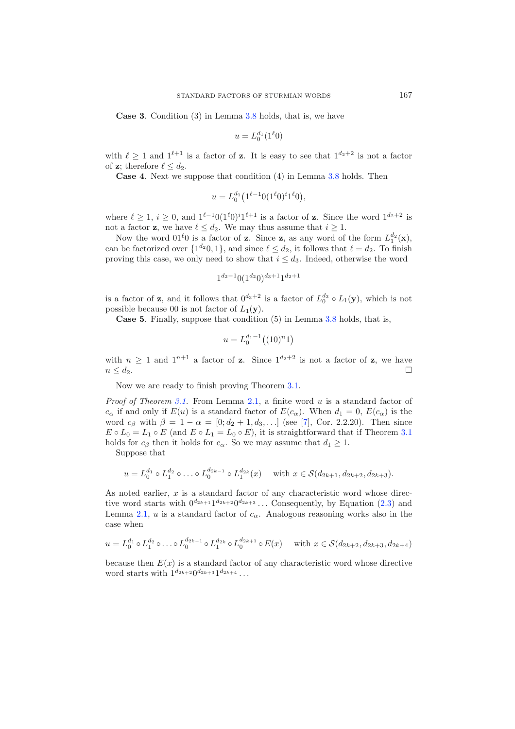**Case 3**. Condition (3) in Lemma [3.8](#page-7-0) holds, that is, we have

$$
u=L_0^{d_1}(1^\ell0)
$$

with  $\ell > 1$  and  $1^{\ell+1}$  is a factor of **z**. It is easy to see that  $1^{d_2+2}$  is not a factor of **z**; therefore  $\ell \leq d_2$ .

**Case 4**. Next we suppose that condition (4) in Lemma [3.8](#page-7-0) holds. Then

$$
u=L_0^{d_1}\big(1^{\ell-1}0(1^\ell0)^i1^\ell0\big),
$$

where  $\ell \geq 1$ ,  $i \geq 0$ , and  $1^{\ell-1}0(1^{\ell}0)^{i}1^{\ell+1}$  is a factor of **z**. Since the word  $1^{d_2+2}$  is not a factor **z**, we have  $\ell \leq d_2$ . We may thus assume that  $i \geq 1$ .

Now the word  $01^{\ell}0$  is a factor of **z**. Since **z**, as any word of the form  $L_1^{d_2}(\mathbf{x})$ , can be factorized over  $\{1^{d_2}0, 1\}$ , and since  $\ell \leq d_2$ , it follows that  $\ell = d_2$ . To finish proving this case, we only need to show that  $i \leq d_3$ . Indeed, otherwise the word

$$
1^{d_2-1}0(1^{d_2}0)^{d_3+1}1^{d_2+1}
$$

is a factor of **z**, and it follows that  $0^{d_3+2}$  is a factor of  $L_0^{d_3} \circ L_1(\mathbf{y})$ , which is not possible because 00 is not factor of  $L_1(\mathbf{y})$ .

**Case 5**. Finally, suppose that condition (5) in Lemma [3.8](#page-7-0) holds, that is,

$$
u = L_0^{d_1 - 1}((10)^n 1)
$$

with  $n \geq 1$  and  $1^{n+1}$  a factor of **z**. Since  $1^{d_2+2}$  is not a factor of **z**, we have  $n \leq d_2$ .

Now we are ready to finish proving Theorem [3.1.](#page-2-0)

*Proof of Theorem [3.1.](#page-2-0)* From Lemma [2.1,](#page-2-0) a finite word u is a standard factor of  $c_{\alpha}$  if and only if  $E(u)$  is a standard factor of  $E(c_{\alpha})$ . When  $d_1 = 0$ ,  $E(c_{\alpha})$  is the word  $c_{\beta}$  with  $\beta = 1 - \alpha = [0; d_2 + 1, d_3,...]$  (see [\[7](#page-14-2)], Cor. 2.2.20). Then since  $E \circ L_0 = L_1 \circ E$  (and  $E \circ L_1 = L_0 \circ E$ ), it is straightforward that if Theorem [3.1](#page-2-0) holds for  $c_{\beta}$  then it holds for  $c_{\alpha}$ . So we may assume that  $d_1 \geq 1$ .

Suppose that

$$
u = L_0^{d_1} \circ L_1^{d_2} \circ \dots \circ L_0^{d_{2k-1}} \circ L_1^{d_{2k}}(x) \quad \text{ with } x \in \mathcal{S}(d_{2k+1}, d_{2k+2}, d_{2k+3}).
$$

As noted earlier,  $x$  is a standard factor of any characteristic word whose directive word starts with  $0^{d_{2k+1}}1^{d_{2k+2}}0^{d_{2k+3}}\dots$  Consequently, by Equation [\(2.3\)](#page-3-1) and Lemma [2.1,](#page-2-0) u is a standard factor of  $c_{\alpha}$ . Analogous reasoning works also in the case when

$$
u = L_0^{d_1} \circ L_1^{d_2} \circ \dots \circ L_0^{d_{2k-1}} \circ L_1^{d_{2k}} \circ L_0^{d_{2k+1}} \circ E(x) \quad \text{ with } x \in \mathcal{S}(d_{2k+2}, d_{2k+3}, d_{2k+4})
$$

because then  $E(x)$  is a standard factor of any characteristic word whose directive word starts with  $1^{d_{2k+2}}0^{d_{2k+3}}1^{d_{2k+4}}...$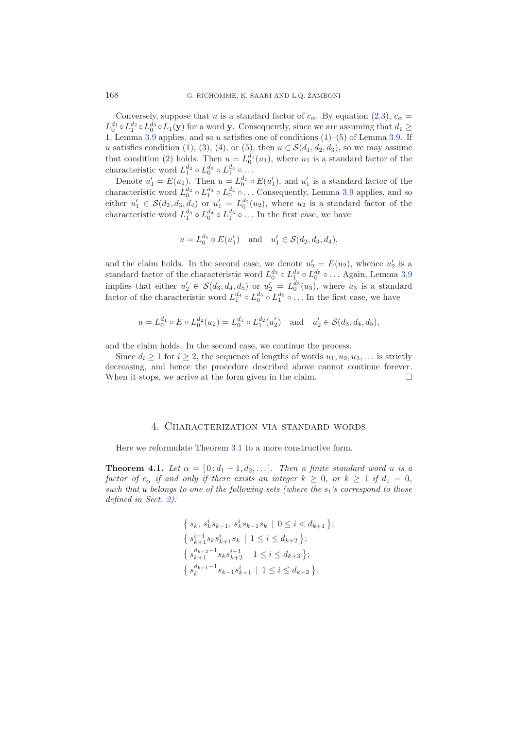Conversely, suppose that u is a standard factor of  $c_{\alpha}$ . By equation [\(2.3\)](#page-3-1),  $c_{\alpha}$  =  $L_0^{d_1} \circ L_1^{d_2} \circ L_0^{d_3} \circ L_1(\mathbf{y})$  for a word **y**. Consequently, since we are assuming that  $d_1 \geq$ 1, Lemma [3.9](#page-7-1) applies, and so u satisfies one of conditions (1)–(5) of Lemma [3.9.](#page-7-1) If u satisfies condition (1), (3), (4), or (5), then  $u \in \mathcal{S}(d_1, d_2, d_3)$ , so we may assume that condition (2) holds. Then  $u = L_0^{d_1}(u_1)$ , where  $u_1$  is a standard factor of the characteristic word  $L_1^{d_2} \circ L_0^{d_3} \circ L_1^{d_4} \circ \ldots$ 

Denote  $u'_1 = E(u_1)$ . Then  $u = L_0^{d_1} \circ E(u'_1)$ , and  $u'_1$  is a standard factor of the characteristic word  $L_0^{d_2} \circ L_1^{d_3} \circ L_0^{d_4} \circ \ldots$  Consequently, Lemma [3.9](#page-7-1) applies, and so either  $u'_1 \in \mathcal{S}(d_2, d_3, d_4)$  or  $u'_1 = L_0^{d_2}(u_2)$ , where  $u_2$  is a standard factor of the characteristic word  $L_1^{d_3} \circ L_0^{d_4} \circ L_1^{d_5} \circ \dots$  In the first case, we have

$$
u = L_0^{d_1} \circ E(u'_1)
$$
 and  $u'_1 \in S(d_2, d_3, d_4)$ ,

and the claim holds. In the second case, we denote  $u'_2 = E(u_2)$ , whence  $u'_2$  is a standard factor of the characteristic word  $L_0^{d_3} \circ L_1^{d_4} \circ L_0^{d_5} \circ \dots$  Again, Lemma [3.9](#page-7-1) implies that either  $u'_2 \in S(d_3, d_4, d_5)$  or  $u'_2 = L_0^d(u_3)$ , where  $u_3$  is a standard factor of the characteristic word  $L_1^{d_4} \circ L_0^{d_5} \circ L_1^{d_6} \circ \dots$  In the first case, we have

$$
u = L_0^{d_1} \circ E \circ L_0^{d_2}(u_2) = L_0^{d_1} \circ L_1^{d_2}(u'_2)
$$
 and  $u'_2 \in \mathcal{S}(d_3, d_4, d_5)$ ,

and the claim holds. In the second case, we continue the process.

Since  $d_i \geq 1$  for  $i \geq 2$ , the sequence of lengths of words  $u_1, u_2, u_3, \ldots$  is strictly decreasing, and hence the procedure described above cannot continue forever. When it stops, we arrive at the form given in the claim.  $\Box$ 

#### 4. Characterization via standard words

<span id="page-9-0"></span>Here we reformulate Theorem [3.1](#page-2-0) to a more constructive form.

**Theorem 4.1.** Let  $\alpha = [0; d_1 + 1, d_2, \ldots]$ *. Then a finite standard word u is a factor of*  $c_{\alpha}$  *if and only if there exists an integer*  $k \geq 0$ *, or*  $k \geq 1$  *if*  $d_1 = 0$ *, such that u belongs to one of the following sets (where the*  $s_i$ *'s correspond to those defined in Sect. [2\)](#page-1-0):*

$$
\{s_k, s_k^i s_{k-1}, s_k^i s_{k-1} s_k \mid 0 \le i < d_{k+1}\};
$$
\n
$$
\{s_{k+1}^{i-1} s_k s_{k+1}^i s_k \mid 1 \le i \le d_{k+2}\};
$$
\n
$$
\{s_{k+2}^{d_{k+2}-1} s_k s_{k+2}^{i+1} \mid 1 \le i \le d_{k+3}\};
$$
\n
$$
\{s_k^{d_{k+1}-1} s_{k-1} s_{k+1}^i \mid 1 \le i \le d_{k+2}\}.
$$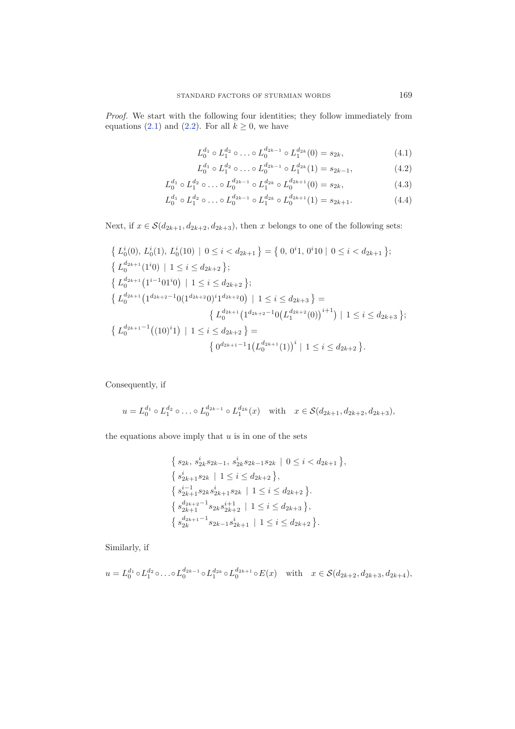*Proof.* We start with the following four identities; they follow immediately from equations [\(2.1\)](#page-3-2) and [\(2.2\)](#page-3-3). For all  $k \geq 0$ , we have

$$
L_0^{d_1} \circ L_1^{d_2} \circ \ldots \circ L_0^{d_{2k-1}} \circ L_1^{d_{2k}}(0) = s_{2k},
$$
\n(4.1)

$$
L_0^{d_1} \circ L_1^{d_2} \circ \ldots \circ L_0^{d_{2k-1}} \circ L_1^{d_{2k}}(1) = s_{2k-1},
$$
\n(4.2)

$$
L_0^{d_1} \circ L_1^{d_2} \circ \ldots \circ L_0^{d_{2k-1}} \circ L_1^{d_{2k}} \circ L_0^{d_{2k+1}}(0) = s_{2k},\tag{4.3}
$$

$$
L_0^{d_1} \circ L_1^{d_2} \circ \ldots \circ L_0^{d_{2k-1}} \circ L_1^{d_{2k}} \circ L_0^{d_{2k+1}}(1) = s_{2k+1}.
$$
 (4.4)

Next, if  $x \in \mathcal{S}(d_{2k+1}, d_{2k+2}, d_{2k+3})$ , then x belongs to one of the following sets:

$$
\{L_0^i(0), L_0^i(1), L_0^i(10) \mid 0 \le i < d_{2k+1}\} = \{0, 0^i 1, 0^i 10 \mid 0 \le i < d_{2k+1}\};
$$
\n
$$
\{L_0^{d_{2k+1}}(1^i 0) \mid 1 \le i \le d_{2k+2}\};
$$
\n
$$
\{L_0^{d_{2k+1}}(1^{i-1}01^i 0) \mid 1 \le i \le d_{2k+2}\};
$$
\n
$$
\{L_0^{d_{2k+1}}(1^{d_{2k+2}-1}0(1^{d_{2k+2}}0)^i 1^{d_{2k+2}}0) \mid 1 \le i \le d_{2k+3}\} = \{L_0^{d_{2k+1}}(1^{d_{2k+2}-1}0(L_1^{d_{2k+2}}(0))^{i+1}) \mid 1 \le i \le d_{2k+3}\};
$$
\n
$$
\{L_0^{d_{2k+1}-1}((10)^i 1) \mid 1 \le i \le d_{2k+2}\} = \{0^{d_{2k+1}-1}(L_0^{d_{2k+1}}(1))^{i} \mid 1 \le i \le d_{2k+2}\}.
$$

Consequently, if

$$
u = L_0^{d_1} \circ L_1^{d_2} \circ \dots \circ L_0^{d_{2k-1}} \circ L_1^{d_{2k}}(x)
$$
 with  $x \in \mathcal{S}(d_{2k+1}, d_{2k+2}, d_{2k+3}),$ 

the equations above imply that  $u$  is in one of the sets

$$
\{s_{2k}, s_{2k}^i s_{2k-1}, s_{2k}^i s_{2k-1} s_{2k} \mid 0 \le i < d_{2k+1}\},
$$
  
\n
$$
\{s_{2k+1}^i s_{2k} \mid 1 \le i \le d_{2k+2}\},
$$
  
\n
$$
\{s_{2k+1}^{i-1} s_{2k} s_{2k+1}^i s_{2k} \mid 1 \le i \le d_{2k+2}\}.
$$
  
\n
$$
\{s_{2k+1}^{d_{2k+2}-1} s_{2k} s_{2k+2}^{i+1} \mid 1 \le i \le d_{2k+3}\},
$$
  
\n
$$
\{s_{2k}^{d_{2k+1}-1} s_{2k-1} s_{2k+1}^i \mid 1 \le i \le d_{2k+2}\}.
$$

Similarly, if

$$
u = L_0^{d_1} \circ L_1^{d_2} \circ \dots \circ L_0^{d_{2k-1}} \circ L_1^{d_{2k}} \circ L_0^{d_{2k+1}} \circ E(x) \quad \text{with} \quad x \in \mathcal{S}(d_{2k+2}, d_{2k+3}, d_{2k+4}),
$$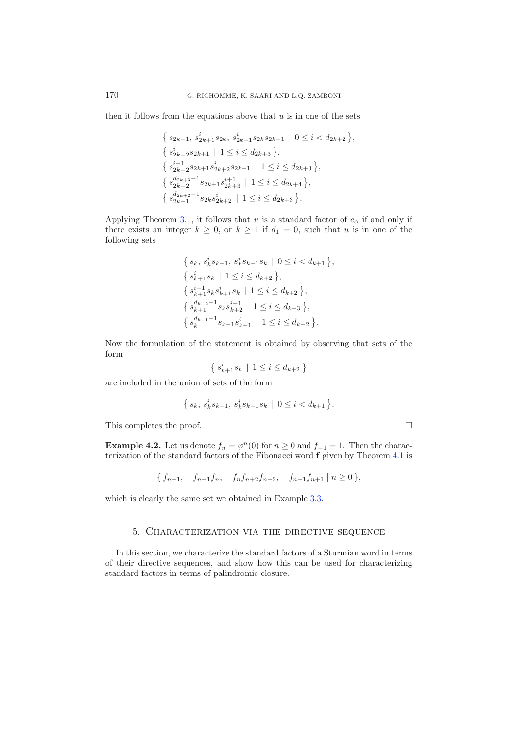then it follows from the equations above that  $u$  is in one of the sets

$$
\{s_{2k+1}, s_{2k+1}^i s_{2k}, s_{2k+1}^i s_{2k} s_{2k+1} \mid 0 \le i < d_{2k+2} \},
$$
  
\n
$$
\{s_{2k+2}^i s_{2k+1} \mid 1 \le i \le d_{2k+3} \},
$$
  
\n
$$
\{s_{2k+2}^{i-1} s_{2k+1} s_{2k+2}^i s_{2k+1} \mid 1 \le i \le d_{2k+3} \},
$$
  
\n
$$
\{s_{2k+2}^{d_{2k+3}-1} s_{2k+1} s_{2k+3}^{i+1} \mid 1 \le i \le d_{2k+4} \},
$$
  
\n
$$
\{s_{2k+2}^{d_{2k+2}-1} s_{2k} s_{2k+2}^i \mid 1 \le i \le d_{2k+3} \}.
$$

Applying Theorem [3.1,](#page-2-0) it follows that u is a standard factor of  $c_{\alpha}$  if and only if there exists an integer  $k \geq 0$ , or  $k \geq 1$  if  $d_1 = 0$ , such that u is in one of the following sets

$$
\{s_k, s_k^i s_{k-1}, s_k^i s_{k-1} s_k \mid 0 \le i < d_{k+1}\},
$$
\n
$$
\{s_{k+1}^i s_k \mid 1 \le i \le d_{k+2}\},
$$
\n
$$
\{s_{k+1}^{i-1} s_k s_{k+1}^i s_k \mid 1 \le i \le d_{k+2}\},
$$
\n
$$
\{s_{k+1}^{d_{k+2}-1} s_k s_{k+2}^{i+1} \mid 1 \le i \le d_{k+3}\},
$$
\n
$$
\{s_k^{d_{k+1}-1} s_{k-1} s_{k+1}^i \mid 1 \le i \le d_{k+2}\}.
$$

Now the formulation of the statement is obtained by observing that sets of the form

$$
\left\{\,s_{k+1}^i s_k\,\mid\,1\leq i\leq d_{k+2}\,\right\}
$$

are included in the union of sets of the form

$$
\{ \, s_k, \, s_k^i s_{k-1}, \, s_k^i s_{k-1}s_k \, \mid \, 0 \leq i < d_{k+1} \, \}.
$$

This completes the proof.

**Example 4.2.** Let us denote  $f_n = \varphi^n(0)$  for  $n \geq 0$  and  $f_{-1} = 1$ . Then the characterization of the standard factors of the Fibonacci word **f** given by Theorem [4.1](#page-2-0) is

 $\Box$ 

$$
\{f_{n-1}, f_{n-1}f_n, f_nf_{n+2}f_{n+2}, f_{n-1}f_{n+1} \mid n \ge 0\},\
$$

<span id="page-11-0"></span>which is clearly the same set we obtained in Example [3.3.](#page-5-1)

## 5. Characterization via the directive sequence

In this section, we characterize the standard factors of a Sturmian word in terms of their directive sequences, and show how this can be used for characterizing standard factors in terms of palindromic closure.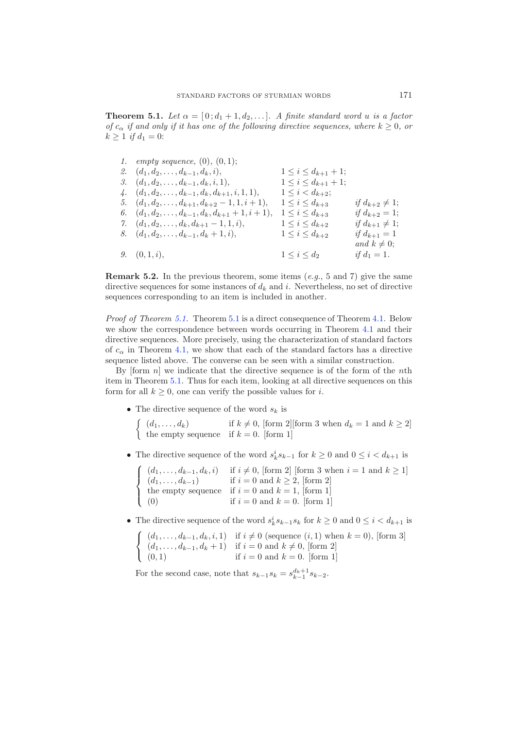**Theorem 5.1.** *Let*  $\alpha = [0; d_1 + 1, d_2, \ldots]$ *.* A finite standard word u is a factor *of*  $c_{\alpha}$  *if and only if it has one of the following directive sequences, where*  $k \geq 0$ *, or*  $k \geq 1$  *if*  $d_1 = 0$ :

| 1. <i>empty sequence</i> , $(0)$ , $(0, 1)$ ;            |                              |                           |
|----------------------------------------------------------|------------------------------|---------------------------|
| 2. $(d_1, d_2, \ldots, d_{k-1}, d_k, i),$                | $1 \leq i \leq d_{k+1} + 1;$ |                           |
| 3. $(d_1, d_2, \ldots, d_{k-1}, d_k, i, 1),$             | $1 \leq i \leq d_{k+1} + 1;$ |                           |
| 4. $(d_1, d_2, \ldots, d_{k-1}, d_k, d_{k+1}, i, 1, 1),$ | $1 \leq i < d_{k+2};$        |                           |
| 5. $(d_1, d_2, \ldots, d_{k+1}, d_{k+2}-1, 1, i+1),$     | $1\leq i\leq d_{k+3}$        | if $d_{k+2} \neq 1$ ;     |
| 6. $(d_1, d_2, \ldots, d_{k-1}, d_k, d_{k+1}+1, i+1),$   | $1\leq i\leq d_{k+3}$        | <i>if</i> $d_{k+2} = 1$ ; |
| 7. $(d_1, d_2, \ldots, d_k, d_{k+1}-1, 1, i),$           | $1\leq i\leq d_{k+2}$        | if $d_{k+1} \neq 1$ ;     |
| 8. $(d_1, d_2, \ldots, d_{k-1}, d_k + 1, i),$            | $1\leq i\leq d_{k+2}$        | <i>if</i> $d_{k+1} = 1$   |
|                                                          |                              | and $k \neq 0$ ;          |
| 9. $(0,1,i)$ ,                                           | $1\leq i\leq d_2$            | <i>if</i> $d_1 = 1$ .     |

**Remark 5.2.** In the previous theorem, some items (*e.g.*, 5 and 7) give the same directive sequences for some instances of  $d_k$  and i. Nevertheless, no set of directive sequences corresponding to an item is included in another.

*Proof of Theorem [5.1.](#page-2-0)* Theorem [5.1](#page-2-0) is a direct consequence of Theorem [4.1.](#page-2-0) Below we show the correspondence between words occurring in Theorem [4.1](#page-2-0) and their directive sequences. More precisely, using the characterization of standard factors of  $c_{\alpha}$  in Theorem [4.1,](#page-2-0) we show that each of the standard factors has a directive sequence listed above. The converse can be seen with a similar construction.

By  $[form\ n]$  we indicate that the directive sequence is of the form of the nth item in Theorem [5.1.](#page-2-0) Thus for each item, looking at all directive sequences on this form for all  $k \geq 0$ , one can verify the possible values for i.

- The directive sequence of the word  $s_k$  is
	- $\int (d_1,\ldots,d_k)$  if  $k \neq 0$ , [form 2][form 3 when  $d_k = 1$  and  $k \geq 2$ ] the empty sequence if  $k = 0$ . [form 1]
- The directive sequence of the word  $s_k^i s_{k-1}$  for  $k \geq 0$  and  $0 \leq i < d_{k+1}$  is

|     | $\int (d_1, , d_{k-1}, d_k, i)$ if $i \neq 0$ , [form 2] [form 3 when $i = 1$ and $k \geq 1$ ] |
|-----|------------------------------------------------------------------------------------------------|
|     | $\int (d_1, , d_{k-1})$ if $i = 0$ and $k \ge 2$ , [form 2]                                    |
|     | the empty sequence if $i = 0$ and $k = 1$ , form 1                                             |
| (0) | if $i = 0$ and $k = 0$ . [form 1]                                                              |

• The directive sequence of the word  $s_k^i s_{k-1}s_k$  for  $k \geq 0$  and  $0 \leq i < d_{k+1}$  is

$$
\begin{cases}\n(d_1, \ldots, d_{k-1}, d_k, i, 1) & \text{if } i \neq 0 \text{ (sequence } (i, 1) \text{ when } k = 0), \text{ [form 3]} \\
(d_1, \ldots, d_{k-1}, d_k + 1) & \text{if } i = 0 \text{ and } k \neq 0, \text{ [form 2]} \\
(0, 1) & \text{if } i = 0 \text{ and } k = 0. \text{ [form 1]}\n\end{cases}
$$

For the second case, note that  $s_{k-1}s_k = s_{k-1}^{d_k+1}s_{k-2}$ .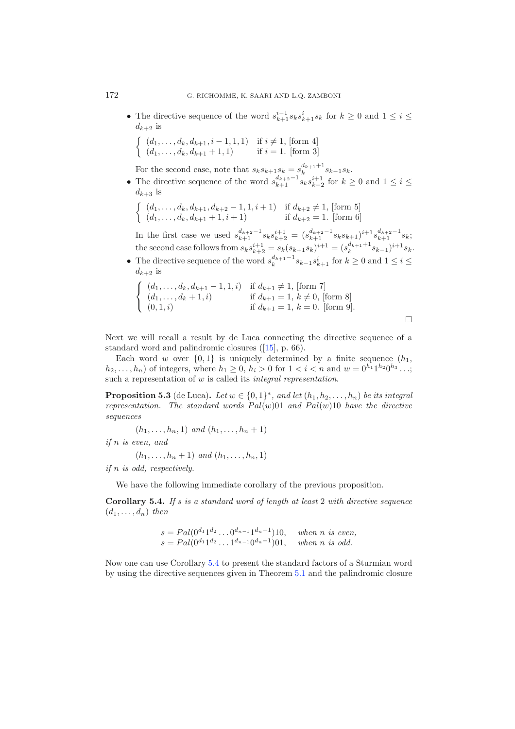• The directive sequence of the word  $s_{k+1}^{i-1} s_k s_{k+1}^i s_k$  for  $k \geq 0$  and  $1 \leq i \leq k$  $d_{k+2}$  is

$$
\begin{cases} (d_1, \ldots, d_k, d_{k+1}, i-1, 1, 1) & \text{if } i \neq 1, \text{ [form 4]} \\ (d_1, \ldots, d_k, d_{k+1} + 1, 1) & \text{if } i = 1. \text{ [form 3]} \end{cases}
$$

For the second case, note that  $s_k s_{k+1} s_k = s_k^{d_{k+1}+1} s_{k-1} s_k$ .

- The directive sequence of the word  $s_{k+1}^{d_{k+2}-1}$  s<sub>k</sub> $s_{k+2}^{i+1}$  for  $k \geq 0$  and  $1 \leq i \leq k$  $d_{k+3}$  is
	- $\int (d_1,\ldots,d_k,d_{k+1},d_{k+2}-1,1,i+1)$  if  $d_{k+2}\neq 1$ , [form 5]  $(d_1, \ldots, d_k, d_{k+1} + 1, i + 1)$  if  $d_{k+2} = 1$ . [form 6]

In the first case we used  $s_{k+1}^{d_{k+2}-1} s_k s_{k+2}^{i+1} = (s_{k+1}^{d_{k+2}-1} s_k s_{k+1})^{i+1} s_{k+1}^{d_{k+2}-1} s_k$ ; the second case follows from  $s_ks_{k+2}^{i+1} = s_k(s_{k+1}s_k)^{i+1} = (s_k^{d_{k+1}+1}s_{k-1})^{i+1}s_k.$ 

• The directive sequence of the word  $s_k^{d_{k+1}-1} s_{k-1} s_{k+1}^i$  for  $k \ge 0$  and  $1 \le i \le k$  $d_{k+2}$  is

$$
\begin{cases}\n(d_1, \ldots, d_k, d_{k+1} - 1, 1, i) & \text{if } d_{k+1} \neq 1, \text{ [form 7]} \\
(d_1, \ldots, d_k + 1, i) & \text{if } d_{k+1} = 1, k \neq 0, \text{ [form 8]} \\
(0, 1, i) & \text{if } d_{k+1} = 1, k = 0. \text{ [form 9]}. \n\end{cases}
$$

Next we will recall a result by de Luca connecting the directive sequence of a standard word and palindromic closures ([\[15](#page-15-17)], p. 66).

Each word w over  $\{0, 1\}$  is uniquely determined by a finite sequence  $(h_1, h_2)$  $h_2,...,h_n$ ) of integers, where  $h_1 \geq 0$ ,  $h_i > 0$  for  $1 < i < n$  and  $w = 0^{h_1} 1^{h_2} 0^{h_3} ...$ ; such a representation of w is called its *integral representation*.

**Proposition 5.3** (de Luca). Let  $w \in \{0,1\}^*$ , and let  $(h_1, h_2, \ldots, h_n)$  be its integral *representation. The standard words*  $Pal(w)01$  *and*  $Pal(w)10$  *have the directive sequences*

 $(h_1, \ldots, h_n, 1)$  *and*  $(h_1, \ldots, h_n + 1)$ 

*if* n *is even, and*

 $(h_1, \ldots, h_n + 1)$  *and*  $(h_1, \ldots, h_n, 1)$ 

*if* n *is odd, respectively.*

We have the following immediate corollary of the previous proposition.

**Corollary 5.4.** *If* s *is a standard word of length at least* 2 *with directive sequence*  $(d_1,\ldots,d_n)$  *then* 

$$
s = Pal(0^{d_1}1^{d_2} \dots 0^{d_{n-1}}1^{d_n-1})10, \quad when \ n \ is \ even, \ns = Pal(0^{d_1}1^{d_2} \dots 1^{d_{n-1}}0^{d_n-1})01, \quad when \ n \ is \ odd.
$$

Now one can use Corollary [5.4](#page-5-0) to present the standard factors of a Sturmian word by using the directive sequences given in Theorem [5.1](#page-2-0) and the palindromic closure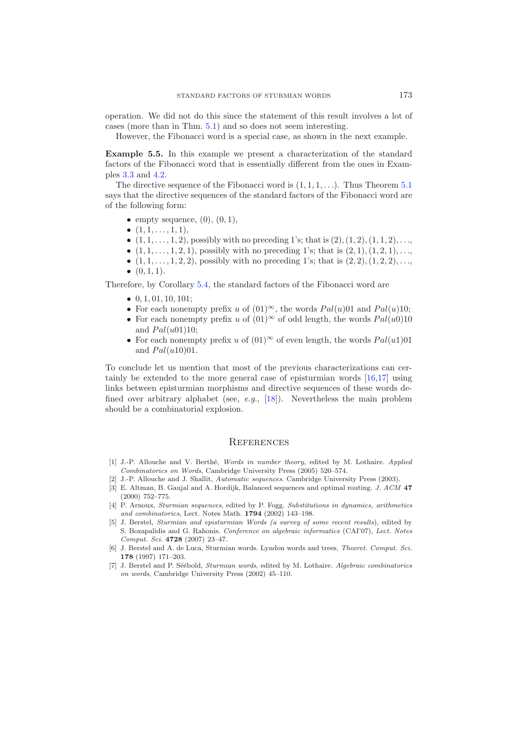operation. We did not do this since the statement of this result involves a lot of cases (more than in Thm. [5.1\)](#page-2-0) and so does not seem interesting.

However, the Fibonacci word is a special case, as shown in the next example.

**Example 5.5.** In this example we present a characterization of the standard factors of the Fibonacci word that is essentially different from the ones in Examples [3.3](#page-5-1) and [4.2.](#page-4-0)

The directive sequence of the Fibonacci word is  $(1, 1, 1, \ldots)$ . Thus Theorem [5.1](#page-2-0) says that the directive sequences of the standard factors of the Fibonacci word are of the following form:

- empty sequence,  $(0)$ ,  $(0, 1)$ ,
- $(1, 1, \ldots, 1, 1),$
- $(1, 1, \ldots, 1, 2)$ , possibly with no preceding 1's; that is  $(2), (1, 2), (1, 1, 2), \ldots$
- $(1, 1, \ldots, 1, 2, 1)$ , possibly with no preceding 1's; that is  $(2, 1), (1, 2, 1), \ldots$
- $(1, 1, \ldots, 1, 2, 2)$ , possibly with no preceding 1's; that is  $(2, 2), (1, 2, 2), \ldots$
- $\bullet$   $(0, 1, 1).$

Therefore, by Corollary [5.4,](#page-5-0) the standard factors of the Fibonacci word are

- $\bullet$  0, 1, 01, 10, 101;
- For each nonempty prefix u of  $(01)^\infty$ , the words  $Pal(u)01$  and  $Pal(u)10$ ;
- For each nonempty prefix u of  $(01)^\infty$  of odd length, the words  $Pal(u0)10$ and  $Pal(u01)10$ ;
- For each nonempty prefix u of  $(01)^\infty$  of even length, the words  $Pal(u1)01$ and  $Pal(u10)01$ .

To conclude let us mention that most of the previous characterizations can certainly be extended to the more general case of episturmian words [\[16](#page-15-18)[,17\]](#page-15-19) using links between episturmian morphisms and directive sequences of these words defined over arbitrary alphabet (see, *e.g.*, [\[18](#page-15-20)]). Nevertheless the main problem should be a combinatorial explosion.

### **REFERENCES**

- <span id="page-14-3"></span>[1] J.-P. Allouche and V. Berth´e, *Words in number theory*, edited by M. Lothaire. *Applied Combinatorics on Words*, Cambridge University Press (2005) 520–574.
- <span id="page-14-4"></span>[2] J.-P. Allouche and J. Shallit, *Automatic sequences*. Cambridge University Press (2003).
- <span id="page-14-5"></span>[3] E. Altman, B. Gaujal and A. Hordijk, Balanced sequences and optimal routing. *J. ACM* **47** (2000) 752–775.
- <span id="page-14-0"></span>[4] P. Arnoux, *Sturmian sequences*, edited by P. Fogg. *Substitutions in dynamics, arithmetics and combinatorics*, Lect. Notes Math. **1794** (2002) 143–198.
- <span id="page-14-1"></span>[5] J. Berstel, *Sturmian and episturmian Words (a survey of some recent results*), edited by S. Bozapalidis and G. Rahonis. *Conference on algebraic informatics* (CAI'07), *Lect. Notes Comput. Sci.* **4728** (2007) 23–47.
- <span id="page-14-6"></span>[6] J. Berstel and A. de Luca, Sturmian words. Lyndon words and trees. *Theoret. Comput. Sci.* **178** (1997) 171–203.
- <span id="page-14-2"></span>[7] J. Berstel and P. S´e´ebold, *Sturmian words*, edited by M. Lothaire. *Algebraic combinatorics on words*, Cambridge University Press (2002) 45–110.